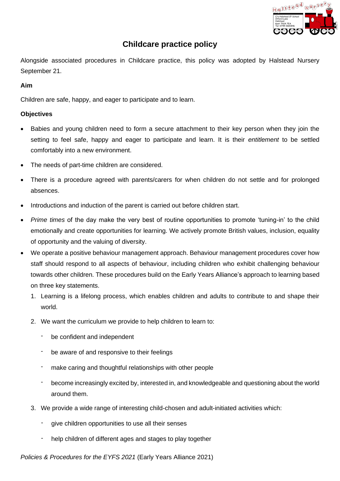

# **Childcare practice policy**

Alongside associated procedures in Childcare practice, this policy was adopted by Halstead Nursery September 21.

## **Aim**

Children are safe, happy, and eager to participate and to learn.

## **Objectives**

- Babies and young children need to form a secure attachment to their key person when they join the setting to feel safe, happy and eager to participate and learn. It is their *entitlement* to be settled comfortably into a new environment.
- The needs of part-time children are considered.
- There is a procedure agreed with parents/carers for when children do not settle and for prolonged absences.
- Introductions and induction of the parent is carried out before children start.
- *Prime times* of the day make the very best of routine opportunities to promote 'tuning-in' to the child emotionally and create opportunities for learning. We actively promote British values, inclusion, equality of opportunity and the valuing of diversity.
- **Policiare practice policy**<br> **Policies associated** procedures in Childcare practice, this policy was adopted by Halstead A<br> **Aim**<br> **Aim**<br> **Children are sale, happy, and eager to participate and to learn.**<br> **Aim**<br> **Aim**<br> **C** • We operate a positive behaviour management approach. Behaviour management procedures cover how staff should respond to all aspects of behaviour, including children who exhibit challenging behaviour towards other children. These procedures build on the Early Years Alliance's approach to learning based on three key statements.
	- 1. Learning is a lifelong process, which enables children and adults to contribute to and shape their world.
	- 2. We want the curriculum we provide to help children to learn to:
		- be confident and independent
		- be aware of and responsive to their feelings
		- make caring and thoughtful relationships with other people
		- become increasingly excited by, interested in, and knowledgeable and questioning about the world around them.
	- 3. We provide a wide range of interesting child-chosen and adult-initiated activities which:
		- give children opportunities to use all their senses
		- help children of different ages and stages to play together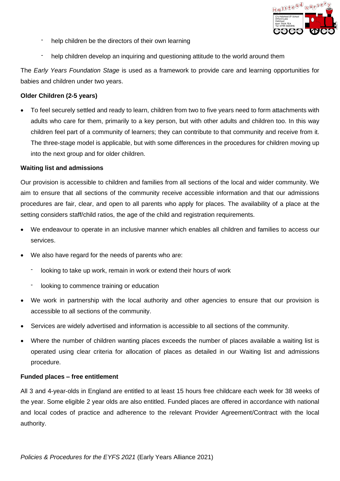

- help children be the directors of their own learning
- help children develop an inquiring and questioning attitude to the world around them

The *Early Years Foundation Stage* is used as a framework to provide care and learning opportunities for babies and children under two years.

### **Older Children (2-5 years)**

**Policies and the directors of the contribution**<br> **Policies Archives Control and Control and Control and Control and Control and CPS and CPS and CPS and CPS and CPS and CPS and CPS and CPS and CPS and CPS and CPS and CPS a** • To feel securely settled and ready to learn, children from two to five years need to form attachments with adults who care for them, primarily to a key person, but with other adults and children too. In this way children feel part of a community of learners; they can contribute to that community and receive from it. The three-stage model is applicable, but with some differences in the procedures for children moving up into the next group and for older children.

#### **Waiting list and admissions**

Our provision is accessible to children and families from all sections of the local and wider community. We aim to ensure that all sections of the community receive accessible information and that our admissions procedures are fair, clear, and open to all parents who apply for places. The availability of a place at the setting considers staff/child ratios, the age of the child and registration requirements.

- We endeavour to operate in an inclusive manner which enables all children and families to access our services.
- We also have regard for the needs of parents who are:
	- looking to take up work, remain in work or extend their hours of work
	- looking to commence training or education
- We work in partnership with the local authority and other agencies to ensure that our provision is accessible to all sections of the community.
- Services are widely advertised and information is accessible to all sections of the community.
- Where the number of children wanting places exceeds the number of places available a waiting list is operated using clear criteria for allocation of places as detailed in our Waiting list and admissions procedure.

#### **Funded places – free entitlement**

All 3 and 4-year-olds in England are entitled to at least 15 hours free childcare each week for 38 weeks of the year. Some eligible 2 year olds are also entitled. Funded places are offered in accordance with national and local codes of practice and adherence to the relevant Provider Agreement/Contract with the local authority.